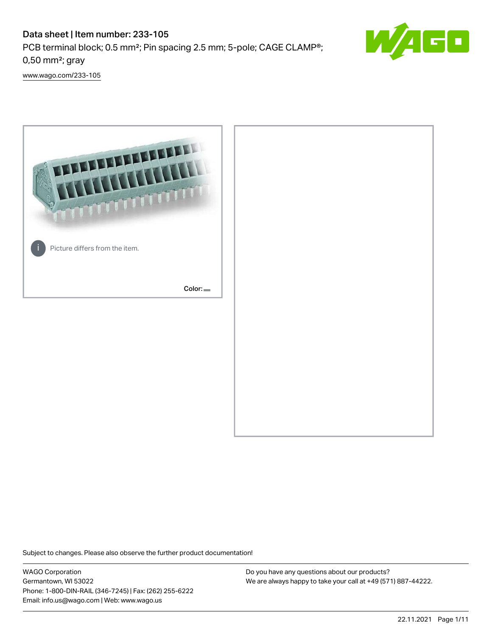# Data sheet | Item number: 233-105 PCB terminal block; 0.5 mm²; Pin spacing 2.5 mm; 5-pole; CAGE CLAMP®; 0,50 mm²; gray



[www.wago.com/233-105](http://www.wago.com/233-105)



Subject to changes. Please also observe the further product documentation!

WAGO Corporation Germantown, WI 53022 Phone: 1-800-DIN-RAIL (346-7245) | Fax: (262) 255-6222 Email: info.us@wago.com | Web: www.wago.us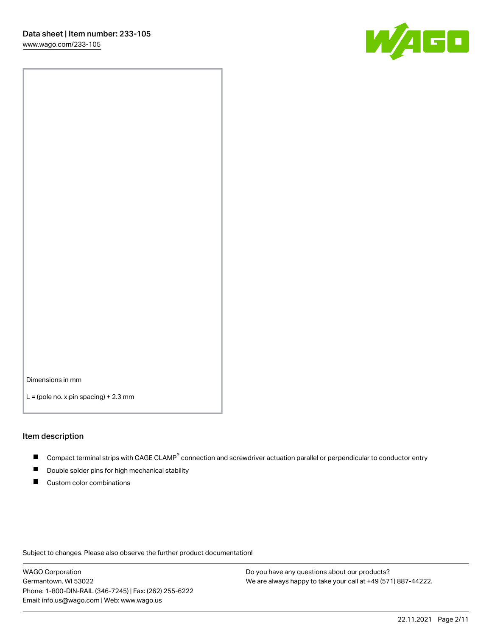

Dimensions in mm

 $L =$  (pole no. x pin spacing) + 2.3 mm

#### Item description

- Compact terminal strips with CAGE CLAMP<sup>®</sup> connection and screwdriver actuation parallel or perpendicular to conductor entry
- Double solder pins for high mechanical stability
- Custom color combinations

Subject to changes. Please also observe the further product documentation!

WAGO Corporation Germantown, WI 53022 Phone: 1-800-DIN-RAIL (346-7245) | Fax: (262) 255-6222 Email: info.us@wago.com | Web: www.wago.us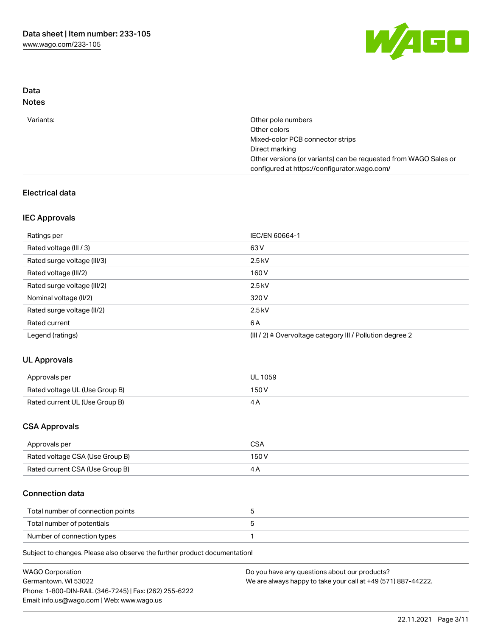

## Data Notes

| Variants: | Other pole numbers                                               |
|-----------|------------------------------------------------------------------|
|           | Other colors                                                     |
|           | Mixed-color PCB connector strips                                 |
|           | Direct marking                                                   |
|           | Other versions (or variants) can be requested from WAGO Sales or |
|           | configured at https://configurator.wago.com/                     |

## Electrical data

## IEC Approvals

| Ratings per                 | IEC/EN 60664-1                                                        |
|-----------------------------|-----------------------------------------------------------------------|
| Rated voltage (III / 3)     | 63 V                                                                  |
| Rated surge voltage (III/3) | $2.5$ kV                                                              |
| Rated voltage (III/2)       | 160 V                                                                 |
| Rated surge voltage (III/2) | $2.5$ kV                                                              |
| Nominal voltage (II/2)      | 320 V                                                                 |
| Rated surge voltage (II/2)  | $2.5$ kV                                                              |
| Rated current               | 6 A                                                                   |
| Legend (ratings)            | $(III / 2)$ $\triangle$ Overvoltage category III / Pollution degree 2 |

## UL Approvals

| Approvals per                  | UL 1059 |
|--------------------------------|---------|
| Rated voltage UL (Use Group B) | 150 V   |
| Rated current UL (Use Group B) |         |

## CSA Approvals

| Approvals per                   | CSA   |
|---------------------------------|-------|
| Rated voltage CSA (Use Group B) | 150 V |
| Rated current CSA (Use Group B) |       |

### Connection data

| Total number of connection points |  |
|-----------------------------------|--|
| Total number of potentials        |  |
| Number of connection types        |  |

Subject to changes. Please also observe the further product documentation!

| <b>WAGO Corporation</b>                                | Do you have any questions about our products?                 |
|--------------------------------------------------------|---------------------------------------------------------------|
| Germantown, WI 53022                                   | We are always happy to take your call at +49 (571) 887-44222. |
| Phone: 1-800-DIN-RAIL (346-7245)   Fax: (262) 255-6222 |                                                               |
| Email: info.us@wago.com   Web: www.wago.us             |                                                               |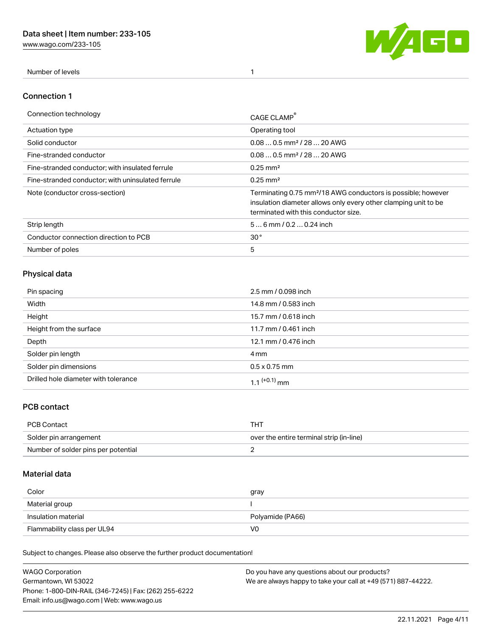[www.wago.com/233-105](http://www.wago.com/233-105)



Number of levels 1

#### Connection 1

| Connection technology                             | CAGE CLAMP                                                                                                                                                                          |
|---------------------------------------------------|-------------------------------------------------------------------------------------------------------------------------------------------------------------------------------------|
| Actuation type                                    | Operating tool                                                                                                                                                                      |
| Solid conductor                                   | $0.080.5$ mm <sup>2</sup> / 28  20 AWG                                                                                                                                              |
| Fine-stranded conductor                           | $0.080.5$ mm <sup>2</sup> / 28  20 AWG                                                                                                                                              |
| Fine-stranded conductor; with insulated ferrule   | $0.25 \text{ mm}^2$                                                                                                                                                                 |
| Fine-stranded conductor: with uninsulated ferrule | $0.25 \text{ mm}^2$                                                                                                                                                                 |
| Note (conductor cross-section)                    | Terminating 0.75 mm <sup>2</sup> /18 AWG conductors is possible; however<br>insulation diameter allows only every other clamping unit to be<br>terminated with this conductor size. |
| Strip length                                      | $56$ mm $/ 0.20.24$ inch                                                                                                                                                            |
| Conductor connection direction to PCB             | 30 <sup>°</sup>                                                                                                                                                                     |
| Number of poles                                   | 5                                                                                                                                                                                   |

## Physical data

| Pin spacing                          | 2.5 mm / 0.098 inch  |
|--------------------------------------|----------------------|
| Width                                | 14.8 mm / 0.583 inch |
| Height                               | 15.7 mm / 0.618 inch |
| Height from the surface              | 11.7 mm / 0.461 inch |
| Depth                                | 12.1 mm / 0.476 inch |
| Solder pin length                    | 4 mm                 |
| Solder pin dimensions                | $0.5 \times 0.75$ mm |
| Drilled hole diameter with tolerance | 1 1 $(+0.1)$ mm      |

## PCB contact

| PCB Contact                         | THT                                      |
|-------------------------------------|------------------------------------------|
| Solder pin arrangement              | over the entire terminal strip (in-line) |
| Number of solder pins per potential |                                          |

## Material data

| Color               | gray             |
|---------------------|------------------|
| Material group      |                  |
| Insulation material | Polyamide (PA66) |
|                     |                  |

Subject to changes. Please also observe the further product documentation!

| <b>WAGO Corporation</b>                                | Do you have any questions about our products?                 |
|--------------------------------------------------------|---------------------------------------------------------------|
| Germantown, WI 53022                                   | We are always happy to take your call at +49 (571) 887-44222. |
| Phone: 1-800-DIN-RAIL (346-7245)   Fax: (262) 255-6222 |                                                               |
| Email: info.us@wago.com   Web: www.wago.us             |                                                               |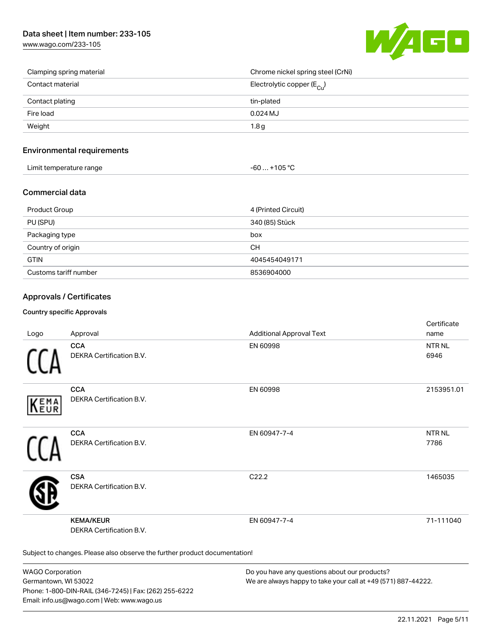## Data sheet | Item number: 233-105

[www.wago.com/233-105](http://www.wago.com/233-105)



| Clamping spring material | Chrome nickel spring steel (CrNi)       |
|--------------------------|-----------------------------------------|
| Contact material         | Electrolytic copper ( $E_{\text{Cu}}$ ) |
| Contact plating          | tin-plated                              |
| Fire load                | $0.024$ MJ                              |
| Weight                   | 1.8 <sub>g</sub>                        |

#### Environmental requirements

| Limit temperature range | $-60+105 °C$ |
|-------------------------|--------------|
|-------------------------|--------------|

#### Commercial data

| Product Group         | 4 (Printed Circuit) |
|-----------------------|---------------------|
| PU (SPU)              | 340 (85) Stück      |
| Packaging type        | box                 |
| Country of origin     | <b>CH</b>           |
| <b>GTIN</b>           | 4045454049171       |
| Customs tariff number | 8536904000          |

## Approvals / Certificates

#### Country specific Approvals

| Logo       | Approval                                                                   | <b>Additional Approval Text</b> | Certificate<br>name       |
|------------|----------------------------------------------------------------------------|---------------------------------|---------------------------|
|            | <b>CCA</b><br>DEKRA Certification B.V.                                     | EN 60998                        | NTR <sub>NL</sub><br>6946 |
| EMA<br>EUR | <b>CCA</b><br>DEKRA Certification B.V.                                     | EN 60998                        | 2153951.01                |
|            | <b>CCA</b><br>DEKRA Certification B.V.                                     | EN 60947-7-4                    | <b>NTRNL</b><br>7786      |
|            | <b>CSA</b><br>DEKRA Certification B.V.                                     | C22.2                           | 1465035                   |
|            | <b>KEMA/KEUR</b><br><b>DEKRA Certification B.V.</b>                        | EN 60947-7-4                    | 71-111040                 |
|            | Subject to changes. Please also observe the further product documentation! |                                 |                           |

WAGO Corporation Germantown, WI 53022 Phone: 1-800-DIN-RAIL (346-7245) | Fax: (262) 255-6222 Email: info.us@wago.com | Web: www.wago.us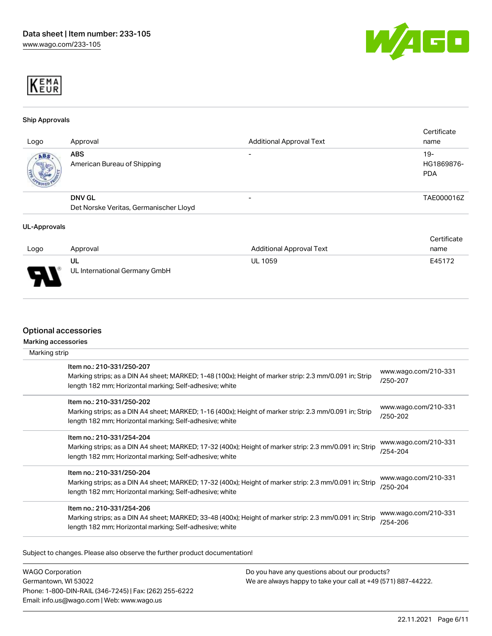



#### Ship Approvals

| Logo | Approval                                                | <b>Additional Approval Text</b> | Certificate<br>name               |
|------|---------------------------------------------------------|---------------------------------|-----------------------------------|
| ABS. | <b>ABS</b><br>American Bureau of Shipping               | $\overline{\phantom{0}}$        | $19-$<br>HG1869876-<br><b>PDA</b> |
|      | <b>DNV GL</b><br>Det Norske Veritas, Germanischer Lloyd |                                 | TAE000016Z                        |

#### UL-Approvals

|      |                               |                                 | Certificate |
|------|-------------------------------|---------------------------------|-------------|
| Logo | Approval                      | <b>Additional Approval Text</b> | name        |
|      | UL                            | <b>UL 1059</b>                  | E45172      |
| J    | UL International Germany GmbH |                                 |             |

#### Optional accessories

Marking accessories

| Marking strip |                                                                                                                                                                                                 |                                  |
|---------------|-------------------------------------------------------------------------------------------------------------------------------------------------------------------------------------------------|----------------------------------|
|               | Item no.: 210-331/250-207<br>Marking strips; as a DIN A4 sheet; MARKED; 1-48 (100x); Height of marker strip: 2.3 mm/0.091 in; Strip<br>length 182 mm; Horizontal marking; Self-adhesive; white  | www.wago.com/210-331<br>/250-207 |
|               | Item no.: 210-331/250-202<br>Marking strips; as a DIN A4 sheet; MARKED; 1-16 (400x); Height of marker strip: 2.3 mm/0.091 in; Strip<br>length 182 mm; Horizontal marking; Self-adhesive; white  | www.wago.com/210-331<br>/250-202 |
|               | Item no.: 210-331/254-204<br>Marking strips; as a DIN A4 sheet; MARKED; 17-32 (400x); Height of marker strip: 2.3 mm/0.091 in; Strip<br>length 182 mm; Horizontal marking; Self-adhesive; white | www.wago.com/210-331<br>/254-204 |
|               | Item no.: 210-331/250-204<br>Marking strips; as a DIN A4 sheet; MARKED; 17-32 (400x); Height of marker strip: 2.3 mm/0.091 in; Strip<br>length 182 mm; Horizontal marking; Self-adhesive; white | www.wago.com/210-331<br>/250-204 |
|               | Item no.: 210-331/254-206<br>Marking strips; as a DIN A4 sheet; MARKED; 33-48 (400x); Height of marker strip: 2.3 mm/0.091 in; Strip<br>length 182 mm; Horizontal marking; Self-adhesive; white | www.wago.com/210-331<br>/254-206 |

Subject to changes. Please also observe the further product documentation!

WAGO Corporation Germantown, WI 53022 Phone: 1-800-DIN-RAIL (346-7245) | Fax: (262) 255-6222 Email: info.us@wago.com | Web: www.wago.us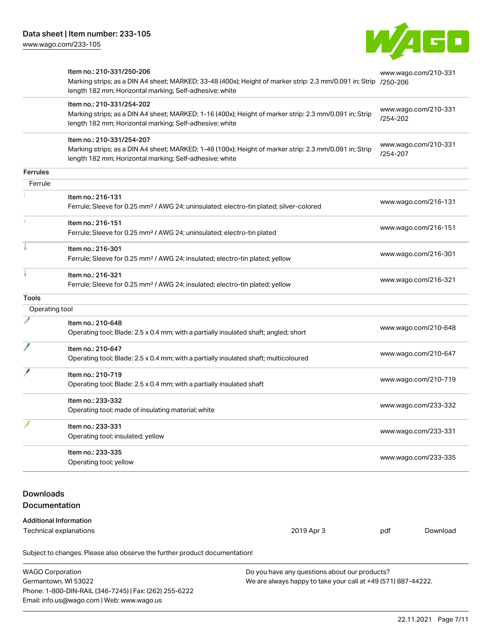

|                                          | Item no.: 210-331/250-206<br>Marking strips; as a DIN A4 sheet; MARKED; 33-48 (400x); Height of marker strip: 2.3 mm/0.091 in; Strip /250-206<br>length 182 mm; Horizontal marking; Self-adhesive; white |  | www.wago.com/210-331             |          |
|------------------------------------------|----------------------------------------------------------------------------------------------------------------------------------------------------------------------------------------------------------|--|----------------------------------|----------|
|                                          | Item no.: 210-331/254-202<br>Marking strips; as a DIN A4 sheet; MARKED; 1-16 (400x); Height of marker strip: 2.3 mm/0.091 in; Strip<br>length 182 mm; Horizontal marking; Self-adhesive; white           |  | www.wago.com/210-331<br>/254-202 |          |
|                                          | Item no.: 210-331/254-207<br>Marking strips; as a DIN A4 sheet; MARKED; 1-48 (100x); Height of marker strip: 2.3 mm/0.091 in; Strip<br>length 182 mm; Horizontal marking; Self-adhesive; white           |  | www.wago.com/210-331<br>/254-207 |          |
| <b>Ferrules</b>                          |                                                                                                                                                                                                          |  |                                  |          |
| Ferrule                                  |                                                                                                                                                                                                          |  |                                  |          |
|                                          | Item no.: 216-131<br>Ferrule; Sleeve for 0.25 mm <sup>2</sup> / AWG 24; uninsulated; electro-tin plated; silver-colored                                                                                  |  | www.wago.com/216-131             |          |
|                                          | Item no.: 216-151<br>Ferrule; Sleeve for 0.25 mm <sup>2</sup> / AWG 24; uninsulated; electro-tin plated                                                                                                  |  | www.wago.com/216-151             |          |
|                                          | Item no.: 216-301<br>Ferrule; Sleeve for 0.25 mm <sup>2</sup> / AWG 24; insulated; electro-tin plated; yellow                                                                                            |  | www.wago.com/216-301             |          |
|                                          | Item no.: 216-321<br>Ferrule; Sleeve for 0.25 mm <sup>2</sup> / AWG 24; insulated; electro-tin plated; yellow                                                                                            |  | www.wago.com/216-321             |          |
| <b>Tools</b>                             |                                                                                                                                                                                                          |  |                                  |          |
| Operating tool                           |                                                                                                                                                                                                          |  |                                  |          |
|                                          | Item no.: 210-648<br>Operating tool; Blade: 2.5 x 0.4 mm; with a partially insulated shaft; angled; short                                                                                                |  | www.wago.com/210-648             |          |
|                                          | Item no.: 210-647<br>Operating tool; Blade: 2.5 x 0.4 mm; with a partially insulated shaft; multicoloured                                                                                                |  | www.wago.com/210-647             |          |
|                                          | Item no.: 210-719<br>Operating tool; Blade: 2.5 x 0.4 mm; with a partially insulated shaft                                                                                                               |  | www.wago.com/210-719             |          |
|                                          | Item no.: 233-332<br>Operating tool; made of insulating material; white                                                                                                                                  |  | www.wago.com/233-332             |          |
|                                          | ltem no.: 233-331<br>Operating tool; insulated; yellow                                                                                                                                                   |  | www.wago.com/233-331             |          |
|                                          | Item no.: 233-335<br>Operating tool; yellow                                                                                                                                                              |  | www.wago.com/233-335             |          |
| <b>Downloads</b><br><b>Documentation</b> |                                                                                                                                                                                                          |  |                                  |          |
|                                          | <b>Additional Information</b><br>2019 Apr 3<br>Technical explanations                                                                                                                                    |  | pdf                              | Download |
|                                          | Subject to changes. Please also observe the further product documentation!                                                                                                                               |  |                                  |          |

WAGO Corporation Germantown, WI 53022 Phone: 1-800-DIN-RAIL (346-7245) | Fax: (262) 255-6222 Email: info.us@wago.com | Web: www.wago.us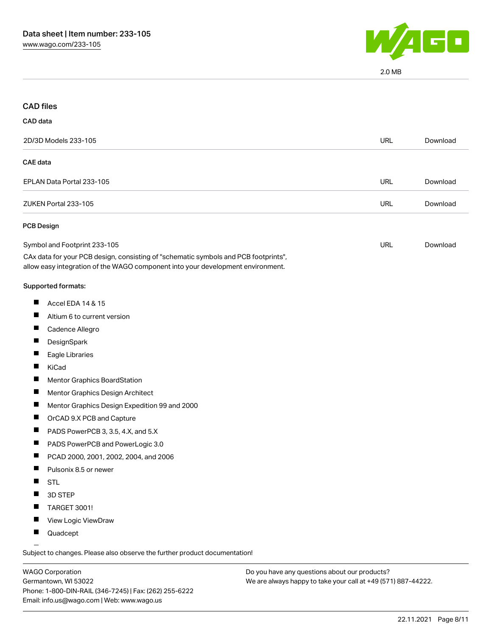

2.0 MB

| <b>CAD files</b>                      |                                                                                                                                                                        |            |          |
|---------------------------------------|------------------------------------------------------------------------------------------------------------------------------------------------------------------------|------------|----------|
| CAD data                              |                                                                                                                                                                        |            |          |
| 2D/3D Models 233-105                  |                                                                                                                                                                        | <b>URL</b> | Download |
| <b>CAE</b> data                       |                                                                                                                                                                        |            |          |
| EPLAN Data Portal 233-105             |                                                                                                                                                                        | <b>URL</b> | Download |
| ZUKEN Portal 233-105                  |                                                                                                                                                                        | <b>URL</b> | Download |
| PCB Design                            |                                                                                                                                                                        |            |          |
| Symbol and Footprint 233-105          |                                                                                                                                                                        | URL        | Download |
|                                       | CAx data for your PCB design, consisting of "schematic symbols and PCB footprints",<br>allow easy integration of the WAGO component into your development environment. |            |          |
| Supported formats:                    |                                                                                                                                                                        |            |          |
| Ш<br>Accel EDA 14 & 15                |                                                                                                                                                                        |            |          |
| Altium 6 to current version           |                                                                                                                                                                        |            |          |
| ш<br>Cadence Allegro                  |                                                                                                                                                                        |            |          |
| DesignSpark<br>ш                      |                                                                                                                                                                        |            |          |
| Eagle Libraries                       |                                                                                                                                                                        |            |          |
| ш<br>KiCad                            |                                                                                                                                                                        |            |          |
| Mentor Graphics BoardStation<br>ш     |                                                                                                                                                                        |            |          |
| Mentor Graphics Design Architect      |                                                                                                                                                                        |            |          |
| ш                                     | Mentor Graphics Design Expedition 99 and 2000                                                                                                                          |            |          |
| Ш<br>OrCAD 9.X PCB and Capture        |                                                                                                                                                                        |            |          |
| PADS PowerPCB 3, 3.5, 4.X, and 5.X    |                                                                                                                                                                        |            |          |
| PADS PowerPCB and PowerLogic 3.0      |                                                                                                                                                                        |            |          |
| PCAD 2000, 2001, 2002, 2004, and 2006 |                                                                                                                                                                        |            |          |
| Pulsonix 8.5 or newer                 |                                                                                                                                                                        |            |          |
| <b>STL</b>                            |                                                                                                                                                                        |            |          |
| 3D STEP                               |                                                                                                                                                                        |            |          |
| <b>TARGET 3001!</b>                   |                                                                                                                                                                        |            |          |
| View Logic ViewDraw                   |                                                                                                                                                                        |            |          |
| Quadcept                              |                                                                                                                                                                        |            |          |

.<br>Subject to changes. Please also observe the further product documentation!

WAGO Corporation Germantown, WI 53022 Phone: 1-800-DIN-RAIL (346-7245) | Fax: (262) 255-6222 Email: info.us@wago.com | Web: www.wago.us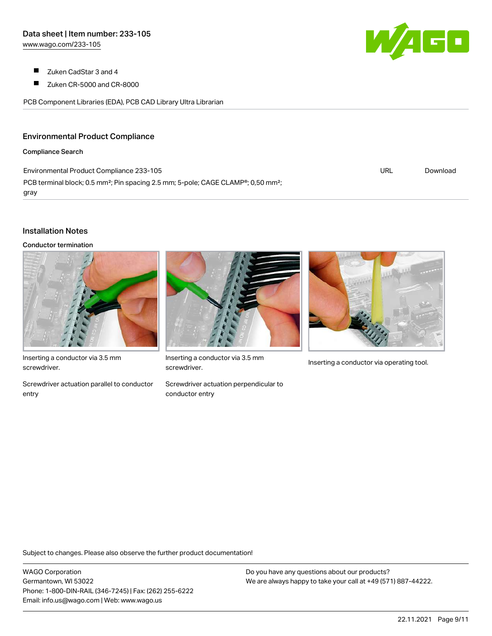- $\blacksquare$ Zuken CadStar 3 and 4
- $\blacksquare$ Zuken CR-5000 and CR-8000

PCB Component Libraries (EDA), PCB CAD Library Ultra Librarian

### Environmental Product Compliance

#### Compliance Search

Environmental Product Compliance 233-105 PCB terminal block; 0.5 mm<sup>2</sup>; Pin spacing 2.5 mm; 5-pole; CAGE CLAMP<sup>®</sup>; 0,50 mm<sup>2</sup>; gray

## Installation Notes

Conductor termination



Inserting a conductor via 3.5 mm screwdriver.

Screwdriver actuation parallel to conductor entry



Inserting a conductor via 3.5 mm<br>Inserting a conductor via operating tool. screwdriver.

Screwdriver actuation perpendicular to conductor entry



URL [Download](https://www.wago.com/global/d/ComplianceLinkMediaContainer_233-105)

Subject to changes. Please also observe the further product documentation!

WAGO Corporation Germantown, WI 53022 Phone: 1-800-DIN-RAIL (346-7245) | Fax: (262) 255-6222 Email: info.us@wago.com | Web: www.wago.us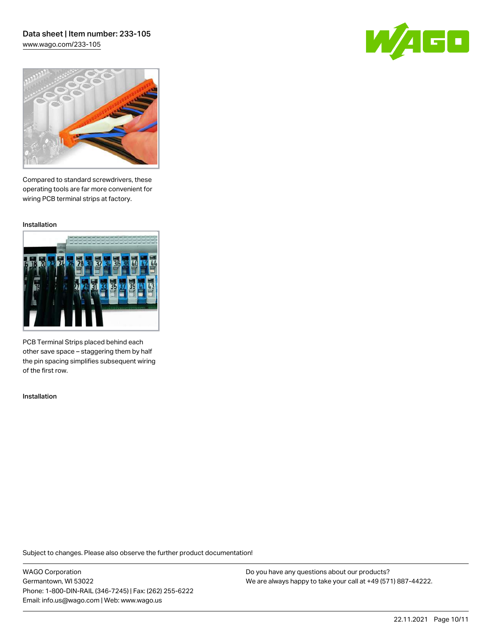## Data sheet | Item number: 233-105 [www.wago.com/233-105](http://www.wago.com/233-105)

60



Compared to standard screwdrivers, these operating tools are far more convenient for wiring PCB terminal strips at factory.

Installation



PCB Terminal Strips placed behind each other save space – staggering them by half the pin spacing simplifies subsequent wiring of the first row.

Installation

Subject to changes. Please also observe the further product documentation!

WAGO Corporation Germantown, WI 53022 Phone: 1-800-DIN-RAIL (346-7245) | Fax: (262) 255-6222 Email: info.us@wago.com | Web: www.wago.us